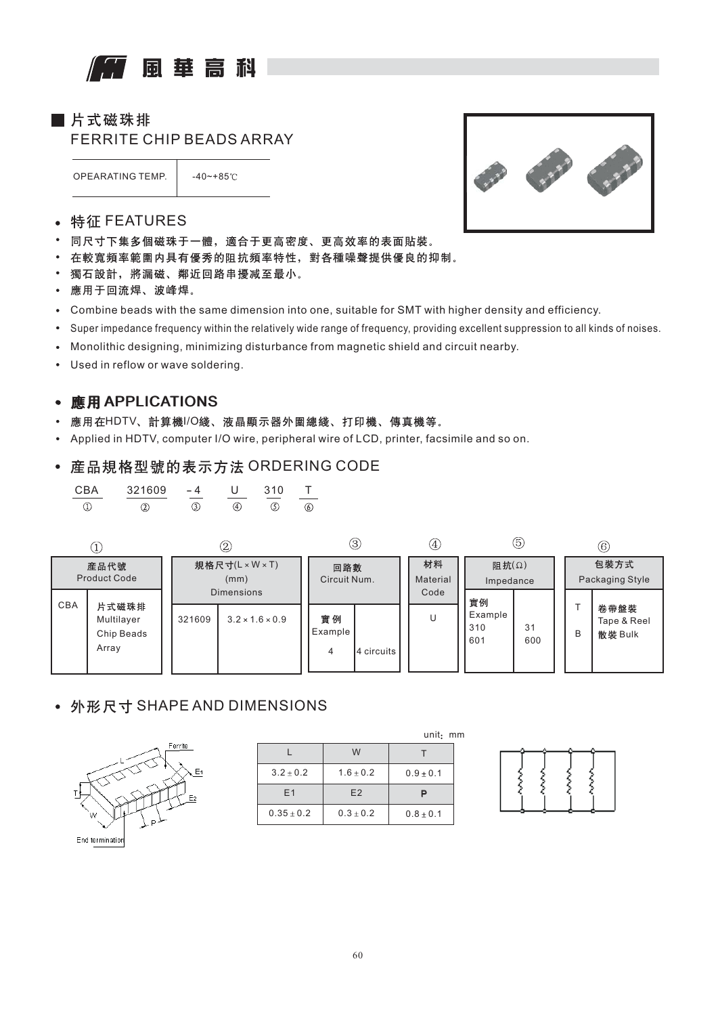# 風華高科

■片式磁珠排

FERRITE CHIP BEADS ARRAY

OPEARATING TEMP. | -40~+85℃



- 特征 FEATURES  $\bullet$
- $\bullet$ 同尺寸下集多個磁珠于一體,適合于更高密度、更高效率的表面貼裝。
- $\bullet$ 在較寬頻率範圍内具有優秀的阻抗頻率特性,對各種噪聲提供優良的抑制。
- 獨石設計,將漏磁、鄰近回路串擾减至最小。  $\bullet$
- 應用于回流焊、波峰焊。
- Combine beads with the same dimension into one, suitable for SMT with higher density and efficiency.
- Super impedance frequency within the relatively wide range of frequency, providing excellent suppression to all kinds of noises.  $\bullet$
- Monolithic designing, minimizing disturbance from magnetic shield and circuit nearby.  $\bullet$
- $\bullet$ Used in reflow or wave soldering.

### APPLICATIONS APPLICATIONS

- 應用在HDTV、計算機I/O綫、液晶顯示器外圍總綫、打印機、傳真機等。
- Applied in HDTV, computer I/O wire, peripheral wire of LCD, printer, facsimile and so on.

#### • 産品規格型號的表示方法 ORDERING CODE

| CRA | 321609 |  | 310 |  |
|-----|--------|--|-----|--|
|     |        |  |     |  |



## • 外形尺寸 SHAPE AND DIMENSIONS



|                |               | unit <sub>:</sub> m |
|----------------|---------------|---------------------|
|                | W             |                     |
| $3.2 \pm 0.2$  | $1.6 \pm 0.2$ | $0.9 + 0.1$         |
| E1             | E2            |                     |
| $0.35 \pm 0.2$ | $0.3 + 0.2$   | $0.8 \pm 0.1$       |